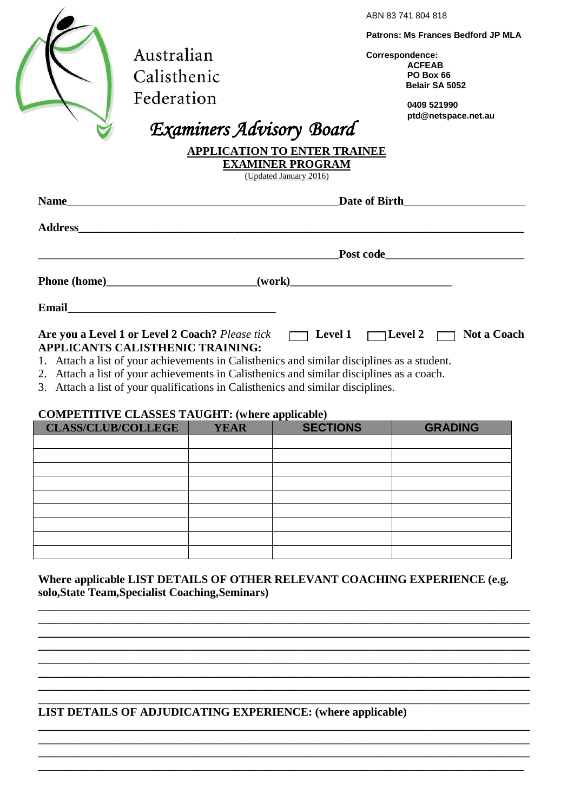|                                                                                                                                                                                                                                                   | ABN 83741804818                                                                                              |
|---------------------------------------------------------------------------------------------------------------------------------------------------------------------------------------------------------------------------------------------------|--------------------------------------------------------------------------------------------------------------|
| Australian<br>Calisthenic                                                                                                                                                                                                                         | <b>Patrons: Ms Frances Bedford JP MLA</b><br>Correspondence:<br><b>ACFEAB</b><br>PO Box 66<br>Belair SA 5052 |
| Federation<br>Examiners Advisory Board                                                                                                                                                                                                            | 0409 521990<br>ptd@netspace.net.au                                                                           |
| <b>APPLICATION TO ENTER TRAINEE</b><br><b>EXAMINER PROGRAM</b><br>(Updated January 2016)                                                                                                                                                          |                                                                                                              |
| Date of Birth <b>Exercise 2.2 September 2.3</b>                                                                                                                                                                                                   |                                                                                                              |
|                                                                                                                                                                                                                                                   |                                                                                                              |
|                                                                                                                                                                                                                                                   |                                                                                                              |
| Phone (home)______________________________(work)________________________________                                                                                                                                                                  |                                                                                                              |
|                                                                                                                                                                                                                                                   |                                                                                                              |
| Are you a Level 1 or Level 2 Coach? Please tick<br><u>Devel 1</u> Level 2<br>Devel 2<br>Devel 2<br>Not a Coach<br>APPLICANTS CALISTHENIC TRAINING:<br>1. Attach a list of your achievements in Calisthenics and similar disciplines as a student. |                                                                                                              |

- 2. Attach a list of your achievements in Calisthenics and similar disciplines as a coach.
- 3. Attach a list of your qualifications in Calisthenics and similar disciplines.

#### **COMPETITIVE CLASSES TAUGHT: (where applicable)**

| <b>CLASS/CLUB/COLLEGE</b> | <b>YEAR</b> | . .<br><b>SECTIONS</b> | <b>GRADING</b> |
|---------------------------|-------------|------------------------|----------------|
|                           |             |                        |                |
|                           |             |                        |                |
|                           |             |                        |                |
|                           |             |                        |                |
|                           |             |                        |                |
|                           |             |                        |                |
|                           |             |                        |                |
|                           |             |                        |                |
|                           |             |                        |                |

**Where applicable LIST DETAILS OF OTHER RELEVANT COACHING EXPERIENCE (e.g. solo,State Team,Specialist Coaching,Seminars)** 

**\_\_\_\_\_\_\_\_\_\_\_\_\_\_\_\_\_\_\_\_\_\_\_\_\_\_\_\_\_\_\_\_\_\_\_\_\_\_\_\_\_\_\_\_\_\_\_\_\_\_\_\_\_\_\_\_\_\_\_\_\_\_\_\_\_\_\_\_\_\_\_\_\_\_\_\_\_\_\_\_\_\_\_\_\_**

**\_\_\_\_\_\_\_\_\_\_\_\_\_\_\_\_\_\_\_\_\_\_\_\_\_\_\_\_\_\_\_\_\_\_\_\_\_\_\_\_\_\_\_\_\_\_\_\_\_\_\_\_\_\_\_\_\_\_\_\_\_\_\_\_\_\_\_\_\_\_\_\_\_\_\_\_\_\_\_\_\_\_\_\_\_**

**\_\_\_\_\_\_\_\_\_\_\_\_\_\_\_\_\_\_\_\_\_\_\_\_\_\_\_\_\_\_\_\_\_\_\_\_\_\_\_\_\_\_\_\_\_\_\_\_\_\_\_\_\_\_\_\_\_\_\_\_\_\_\_\_\_\_\_\_\_\_\_\_\_\_\_\_\_\_\_\_\_\_\_\_\_ \_\_\_\_\_\_\_\_\_\_\_\_\_\_\_\_\_\_\_\_\_\_\_\_\_\_\_\_\_\_\_\_\_\_\_\_\_\_\_\_\_\_\_\_\_\_\_\_\_\_\_\_\_\_\_\_\_\_\_\_\_\_\_\_\_\_\_\_\_\_\_\_\_\_\_\_\_\_\_\_\_\_\_\_\_**

**\_\_\_\_\_\_\_\_\_\_\_\_\_\_\_\_\_\_\_\_\_\_\_\_\_\_\_\_\_\_\_\_\_\_\_\_\_\_\_\_\_\_\_\_\_\_\_\_\_\_\_\_\_\_\_\_\_\_\_\_\_\_\_\_\_\_\_\_\_\_\_\_\_\_\_\_\_\_\_\_\_\_\_\_\_**

**\_\_\_\_\_\_\_\_\_\_\_\_\_\_\_\_\_\_\_\_\_\_\_\_\_\_\_\_\_\_\_\_\_\_\_\_\_\_\_\_\_\_\_\_\_\_\_\_\_\_\_\_\_\_\_\_\_\_\_\_\_\_\_\_\_\_\_\_\_\_\_\_\_\_\_\_\_\_\_\_\_\_\_\_\_ \_\_\_\_\_\_\_\_\_\_\_\_\_\_\_\_\_\_\_\_\_\_\_\_\_\_\_\_\_\_\_\_\_\_\_\_\_\_\_\_\_\_\_\_\_\_\_\_\_\_\_\_\_\_\_\_\_\_\_\_\_\_\_\_\_\_\_\_\_\_\_\_\_\_\_\_\_\_\_\_\_\_\_\_**

**LIST DETAILS OF ADJUDICATING EXPERIENCE: (where applicable)**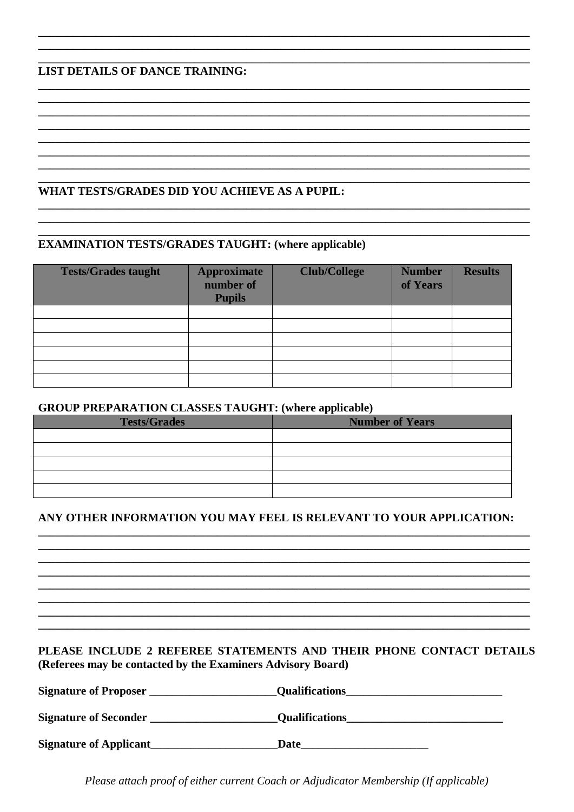## **LIST DETAILS OF DANCE TRAINING:**

# WHAT TESTS/GRADES DID YOU ACHIEVE AS A PUPIL:

### **EXAMINATION TESTS/GRADES TAUGHT: (where applicable)**

| <b>Tests/Grades taught</b> | <b>Approximate</b><br>number of<br><b>Pupils</b> | <b>Club/College</b> | <b>Number</b><br>of Years | <b>Results</b> |
|----------------------------|--------------------------------------------------|---------------------|---------------------------|----------------|
|                            |                                                  |                     |                           |                |
|                            |                                                  |                     |                           |                |
|                            |                                                  |                     |                           |                |
|                            |                                                  |                     |                           |                |
|                            |                                                  |                     |                           |                |
|                            |                                                  |                     |                           |                |

#### **GROUP PREPARATION CLASSES TAUGHT: (where applicable)**

| <b>Tests/Grades</b> | - -<br><b>Number of Years</b> |
|---------------------|-------------------------------|
|                     |                               |
|                     |                               |
|                     |                               |
|                     |                               |
|                     |                               |

# ANY OTHER INFORMATION YOU MAY FEEL IS RELEVANT TO YOUR APPLICATION:

### PLEASE INCLUDE 2 REFEREE STATEMENTS AND THEIR PHONE CONTACT DETAILS (Referees may be contacted by the Examiners Advisory Board)

| <b>Signature of Proposer</b>  | <b>Qualifications</b> |
|-------------------------------|-----------------------|
| <b>Signature of Seconder</b>  | <b>Qualifications</b> |
|                               |                       |
| <b>Signature of Applicant</b> | Date                  |

Please attach proof of either current Coach or Adjudicator Membership (If applicable)